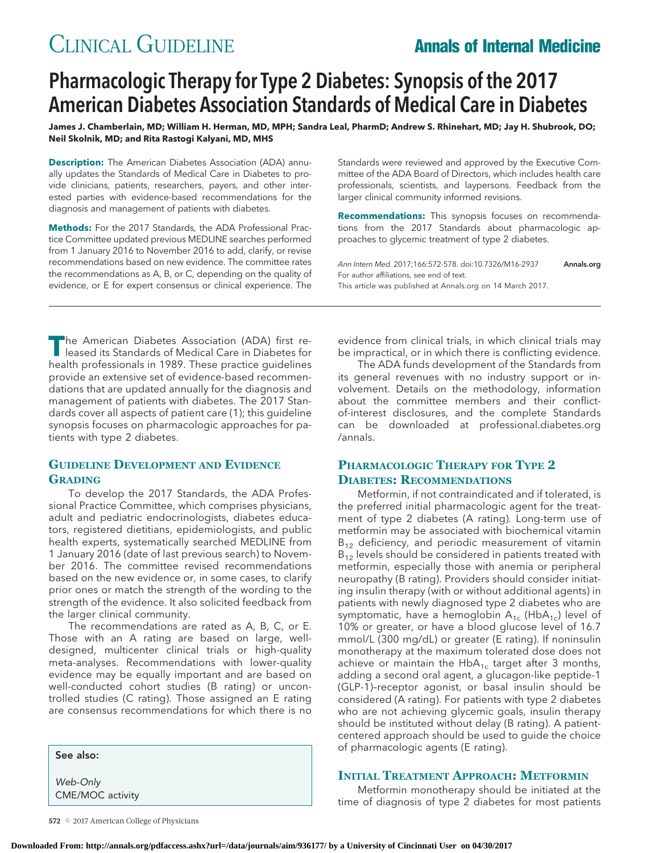# CLINICAL GUIDELINE **Annals of Internal Medicine**

# Pharmacologic Therapy for Type 2 Diabetes: Synopsis of the 2017 American Diabetes Association Standards of Medical Care in Diabetes

**James J. Chamberlain, MD; William H. Herman, MD, MPH; Sandra Leal, PharmD; Andrew S. Rhinehart, MD; Jay H. Shubrook, DO; Neil Skolnik, MD; and Rita Rastogi Kalyani, MD, MHS**

**Description:** The American Diabetes Association (ADA) annually updates the Standards of Medical Care in Diabetes to provide clinicians, patients, researchers, payers, and other interested parties with evidence-based recommendations for the diagnosis and management of patients with diabetes.

**Methods:** For the 2017 Standards, the ADA Professional Practice Committee updated previous MEDLINE searches performed from 1 January 2016 to November 2016 to add, clarify, or revise recommendations based on new evidence. The committee rates the recommendations as A, B, or C, depending on the quality of evidence, or E for expert consensus or clinical experience. The

Standards were reviewed and approved by the Executive Committee of the ADA Board of Directors, which includes health care professionals, scientists, and laypersons. Feedback from the larger clinical community informed revisions.

**Recommendations:** This synopsis focuses on recommendations from the 2017 Standards about pharmacologic approaches to glycemic treatment of type 2 diabetes.

Ann Intern Med. 2017;166:572-578. doi:10.7326/M16-2937 **[Annals.org](http://www.annals.org)** For author affiliations, see end of text. This article was published at [Annals.org](http://www.annals.org) on 14 March 2017.

**The American Diabetes Association (ADA) first re-**<br>leased its Standards of Medical Care in Diabetes for health professionals in 1989. These practice guidelines provide an extensive set of evidence-based recommendations that are updated annually for the diagnosis and management of patients with diabetes. The 2017 Standards cover all aspects of patient care (1); this guideline synopsis focuses on pharmacologic approaches for patients with type 2 diabetes.

## **GUIDELINE DEVELOPMENT AND EVIDENCE GRADING**

To develop the 2017 Standards, the ADA Professional Practice Committee, which comprises physicians, adult and pediatric endocrinologists, diabetes educators, registered dietitians, epidemiologists, and public health experts, systematically searched MEDLINE from 1 January 2016 (date of last previous search) to November 2016. The committee revised recommendations based on the new evidence or, in some cases, to clarify prior ones or match the strength of the wording to the strength of the evidence. It also solicited feedback from the larger clinical community.

The recommendations are rated as A, B, C, or E. Those with an A rating are based on large, welldesigned, multicenter clinical trials or high-quality meta-analyses. Recommendations with lower-quality evidence may be equally important and are based on well-conducted cohort studies (B rating) or uncontrolled studies (C rating). Those assigned an E rating are consensus recommendations for which there is no

See also: *Web-Only* CME/MOC activity evidence from clinical trials, in which clinical trials may be impractical, or in which there is conflicting evidence.

The ADA funds development of the Standards from its general revenues with no industry support or involvement. Details on the methodology, information about the committee members and their conflictof-interest disclosures, and the complete Standards can be downloaded at professional.diabetes.org /annals.

# **PHARMACOLOGIC THERAPY FOR TYPE 2 DIABETES: RECOMMENDATIONS**

Metformin, if not contraindicated and if tolerated, is the preferred initial pharmacologic agent for the treatment of type 2 diabetes (A rating). Long-term use of metformin may be associated with biochemical vitamin  $B_{12}$  deficiency, and periodic measurement of vitamin  $B_{12}$  levels should be considered in patients treated with metformin, especially those with anemia or peripheral neuropathy (B rating). Providers should consider initiating insulin therapy (with or without additional agents) in patients with newly diagnosed type 2 diabetes who are symptomatic, have a hemoglobin  $A_{1c}$  (Hb $A_{1c}$ ) level of 10% or greater, or have a blood glucose level of 16.7 mmol/L (300 mg/dL) or greater (E rating). If noninsulin monotherapy at the maximum tolerated dose does not achieve or maintain the HbA<sub>1c</sub> target after 3 months, adding a second oral agent, a glucagon-like peptide-1 (GLP-1)–receptor agonist, or basal insulin should be considered (A rating). For patients with type 2 diabetes who are not achieving glycemic goals, insulin therapy should be instituted without delay (B rating). A patientcentered approach should be used to guide the choice of pharmacologic agents (E rating).

### **INITIAL TREATMENT APPROACH: METFORMIN**

Metformin monotherapy should be initiated at the time of diagnosis of type 2 diabetes for most patients

**572** © 2017 American College of Physicians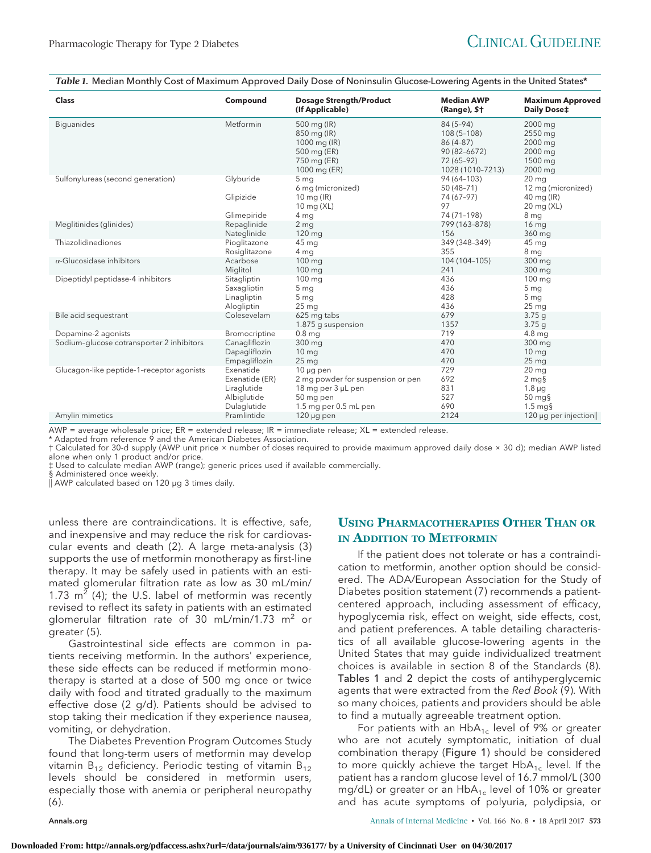| <b>Class</b>                              | Compound                              | <b>Dosage Strength/Product</b><br>(If Applicable)                                        | <b>Median AWP</b><br>(Range), \$ <sup>+</sup>                                              | <b>Maximum Approved</b><br><b>Daily Dose‡</b>                                         |
|-------------------------------------------|---------------------------------------|------------------------------------------------------------------------------------------|--------------------------------------------------------------------------------------------|---------------------------------------------------------------------------------------|
| <b>Biguanides</b>                         | Metformin                             | 500 mg (IR)<br>850 mg (IR)<br>1000 mg (IR)<br>500 mg (ER)<br>750 mg (ER)<br>1000 mg (ER) | $84(5-94)$<br>$108(5-108)$<br>$86(4-87)$<br>90 (82-6672)<br>72 (65-92)<br>1028 (1010-7213) | 2000 mg<br>2550 mg<br>2000 mg<br>2000 mg<br>1500 mg<br>2000 mg                        |
| Sulfonylureas (second generation)         | Glyburide<br>Glipizide<br>Glimepiride | 5 <sub>mg</sub><br>6 mg (micronized)<br>10 mg $(IR)$<br>10 mg $(XL)$<br>4 mg             | 94 (64-103)<br>$50(48-71)$<br>74 (67-97)<br>97<br>74 (71-198)                              | 20 <sub>mg</sub><br>12 mg (micronized)<br>40 mg (IR)<br>20 mg (XL)<br>8 <sub>mg</sub> |
| Meglitinides (glinides)                   | Repaglinide                           | 2 <sub>mg</sub>                                                                          | 799 (163-878)                                                                              | 16 mg                                                                                 |
|                                           | Nateglinide                           | 120 mg                                                                                   | 156                                                                                        | 360 mg                                                                                |
| Thiazolidinediones                        | Pioglitazone                          | 45 mg                                                                                    | 349 (348-349)                                                                              | 45 mg                                                                                 |
|                                           | Rosiglitazone                         | 4 mg                                                                                     | 355                                                                                        | 8 <sub>mg</sub>                                                                       |
| $\alpha$ -Glucosidase inhibitors          | Acarbose                              | 100 mg                                                                                   | 104 (104-105)                                                                              | 300 mg                                                                                |
|                                           | Miglitol                              | 100 mg                                                                                   | 241                                                                                        | 300 mg                                                                                |
| Dipeptidyl peptidase-4 inhibitors         | Sitagliptin                           | $100 \text{ mg}$                                                                         | 436                                                                                        | $100 \text{ ma}$                                                                      |
|                                           | Saxagliptin                           | 5 <sub>mg</sub>                                                                          | 436                                                                                        | 5 <sub>mg</sub>                                                                       |
|                                           | Linagliptin                           | 5 mg                                                                                     | 428                                                                                        | 5 <sub>mq</sub>                                                                       |
|                                           | Alogliptin                            | 25 <sub>mg</sub>                                                                         | 436                                                                                        | 25 <sub>mg</sub>                                                                      |
| Bile acid sequestrant                     | Colesevelam                           | 625 mg tabs<br>1.875 g suspension                                                        | 679<br>1357                                                                                | 3.75q<br>3.75q                                                                        |
| Dopamine-2 agonists                       | Bromocriptine                         | 0.8 <sub>mg</sub>                                                                        | 719                                                                                        | 4.8 mg                                                                                |
| Sodium-qlucose cotransporter 2 inhibitors | Canagliflozin                         | 300 mg                                                                                   | 470                                                                                        | 300 mg                                                                                |
|                                           | Dapagliflozin                         | 10 <sub>mg</sub>                                                                         | 470                                                                                        | 10 <sub>mg</sub>                                                                      |
|                                           | Empagliflozin                         | 25 <sub>mg</sub>                                                                         | 470                                                                                        | 25 <sub>mg</sub>                                                                      |
| Glucagon-like peptide-1-receptor agonists | Exenatide                             | $10 \mu g$ pen                                                                           | 729                                                                                        | 20 <sub>mg</sub>                                                                      |
|                                           | Exenatide (ER)                        | 2 mg powder for suspension or pen                                                        | 692                                                                                        | $2 \text{ mg}$                                                                        |
|                                           | Liraglutide                           | 18 mg per 3 µL pen                                                                       | 831                                                                                        | $1.8 \mu g$                                                                           |
|                                           | Albiglutide                           | 50 mg pen                                                                                | 527                                                                                        | $50 \text{ mg}$                                                                       |
|                                           | Dulaglutide                           | 1.5 mg per 0.5 mL pen                                                                    | 690                                                                                        | $1.5 \text{ mg}$                                                                      |
| Amylin mimetics                           | Pramlintide                           | $120 \mu q$ pen                                                                          | 2124                                                                                       | 120 µg per injection                                                                  |

*Table 1.* Median Monthly Cost of Maximum Approved Daily Dose of Noninsulin Glucose-Lowering Agents in the United States\*

AWP = average wholesale price; ER = extended release; IR = immediate release; XL = extended release.

\* Adapted from reference 9 and the American Diabetes Association.

† Calculated for 30-d supply (AWP unit price × number of doses required to provide maximum approved daily dose × 30 d); median AWP listed alone when only 1 product and/or price.

‡ Used to calculate median AWP (range); generic prices used if available commercially.

§ Administered once weekly. -- AWP calculated based on 120 μg 3 times daily.

unless there are contraindications. It is effective, safe, and inexpensive and may reduce the risk for cardiovascular events and death (2). A large meta-analysis (3) supports the use of metformin monotherapy as first-line therapy. It may be safely used in patients with an estimated glomerular filtration rate as low as 30 mL/min/ 1.73  $m^2$  (4); the U.S. label of metformin was recently revised to reflect its safety in patients with an estimated glomerular filtration rate of 30 mL/min/1.73  $m^2$  or greater (5).

Gastrointestinal side effects are common in patients receiving metformin. In the authors' experience, these side effects can be reduced if metformin monotherapy is started at a dose of 500 mg once or twice daily with food and titrated gradually to the maximum effective dose (2 g/d). Patients should be advised to stop taking their medication if they experience nausea, vomiting, or dehydration.

The Diabetes Prevention Program Outcomes Study found that long-term users of metformin may develop vitamin  $B_{12}$  deficiency. Periodic testing of vitamin  $B_{12}$ levels should be considered in metformin users, especially those with anemia or peripheral neuropathy (6).

# **USING PHARMACOTHERAPIES OTHER THAN OR IN ADDITION TO METFORMIN**

If the patient does not tolerate or has a contraindication to metformin, another option should be considered. The ADA/European Association for the Study of Diabetes position statement (7) recommends a patientcentered approach, including assessment of efficacy, hypoglycemia risk, effect on weight, side effects, cost, and patient preferences. A table detailing characteristics of all available glucose-lowering agents in the United States that may guide individualized treatment choices is available in section 8 of the Standards (8). Tables 1 and 2 depict the costs of antihyperglycemic agents that were extracted from the Red Book (9). With so many choices, patients and providers should be able to find a mutually agreeable treatment option.

For patients with an  $HbA_{1c}$  level of 9% or greater who are not acutely symptomatic, initiation of dual combination therapy (Figure 1) should be considered to more quickly achieve the target HbA<sub>1c</sub> level. If the patient has a random glucose level of 16.7 mmol/L (300 mg/dL) or greater or an  $HbA_{1c}$  level of 10% or greater and has acute symptoms of polyuria, polydipsia, or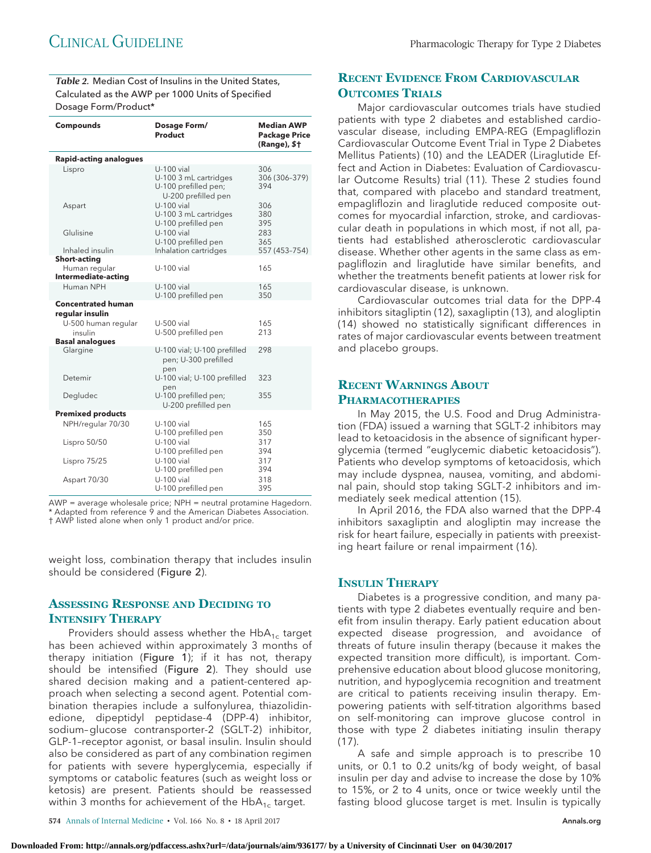*Table 2.* Median Cost of Insulins in the United States, Calculated as the AWP per 1000 Units of Specified Dosage Form/Product\*

| <b>Compounds</b>                             | Dosage Form/<br>Product                                                            | <b>Median AWP</b><br><b>Package Price</b><br>(Range), \$ <sup>+</sup> |
|----------------------------------------------|------------------------------------------------------------------------------------|-----------------------------------------------------------------------|
| <b>Rapid-acting analogues</b>                |                                                                                    |                                                                       |
| Lispro                                       | U-100 vial<br>U-100 3 mL cartridges<br>U-100 prefilled pen;<br>U-200 prefilled pen | 306<br>306 (306-379)<br>394                                           |
| Aspart                                       | U-100 vial<br>U-100 3 mL cartridges<br>U-100 prefilled pen                         | 306<br>380<br>395                                                     |
| Glulisine                                    | U-100 vial<br>U-100 prefilled pen                                                  | 283<br>365                                                            |
| Inhaled insulin<br><b>Short-acting</b>       | Inhalation cartridges                                                              | 557 (453-754)                                                         |
| Human regular<br>Intermediate-acting         | U-100 vial                                                                         | 165                                                                   |
| Human NPH                                    | U-100 vial<br>U-100 prefilled pen                                                  | 165<br>350                                                            |
| <b>Concentrated human</b><br>regular insulin |                                                                                    |                                                                       |
| U-500 human regular<br>insulin               | U-500 vial<br>U-500 prefilled pen                                                  | 165<br>213                                                            |
| <b>Basal analogues</b>                       |                                                                                    |                                                                       |
| Glargine                                     | U-100 vial; U-100 prefilled<br>pen; U-300 prefilled<br>pen                         | 298                                                                   |
| Detemir                                      | U-100 vial; U-100 prefilled<br>pen                                                 | 323                                                                   |
| Degludec                                     | U-100 prefilled pen;<br>U-200 prefilled pen                                        | 355                                                                   |
| <b>Premixed products</b>                     |                                                                                    |                                                                       |
| NPH/regular 70/30                            | U-100 vial<br>U-100 prefilled pen                                                  | 165<br>350                                                            |
| Lispro 50/50                                 | U-100 vial<br>U-100 prefilled pen                                                  | 317<br>394                                                            |
| Lispro 75/25                                 | U-100 vial<br>U-100 prefilled pen                                                  | 317<br>394                                                            |
| Aspart 70/30                                 | U-100 vial<br>U-100 prefilled pen                                                  | 318<br>395                                                            |

AWP = average wholesale price; NPH = neutral protamine Hagedorn. \* Adapted from reference 9 and the American Diabetes Association. † AWP listed alone when only 1 product and/or price.

weight loss, combination therapy that includes insulin should be considered (Figure 2).

# **ASSESSING RESPONSE AND DECIDING TO INTENSIFY THERAPY**

Providers should assess whether the  $HbA_{1c}$  target has been achieved within approximately 3 months of therapy initiation (Figure 1); if it has not, therapy should be intensified (Figure 2). They should use shared decision making and a patient-centered approach when selecting a second agent. Potential combination therapies include a sulfonylurea, thiazolidinedione, dipeptidyl peptidase-4 (DPP-4) inhibitor, sodium–glucose contransporter-2 (SGLT-2) inhibitor, GLP-1–receptor agonist, or basal insulin. Insulin should also be considered as part of any combination regimen for patients with severe hyperglycemia, especially if symptoms or catabolic features (such as weight loss or ketosis) are present. Patients should be reassessed within 3 months for achievement of the  $HbA_{1c}$  target.

# **RECENT EVIDENCE FROM CARDIOVASCULAR OUTCOMES TRIALS**

Major cardiovascular outcomes trials have studied patients with type 2 diabetes and established cardiovascular disease, including EMPA-REG (Empagliflozin Cardiovascular Outcome Event Trial in Type 2 Diabetes Mellitus Patients) (10) and the LEADER (Liraglutide Effect and Action in Diabetes: Evaluation of Cardiovascular Outcome Results) trial (11). These 2 studies found that, compared with placebo and standard treatment, empagliflozin and liraglutide reduced composite outcomes for myocardial infarction, stroke, and cardiovascular death in populations in which most, if not all, patients had established atherosclerotic cardiovascular disease. Whether other agents in the same class as empagliflozin and liraglutide have similar benefits, and whether the treatments benefit patients at lower risk for cardiovascular disease, is unknown.

Cardiovascular outcomes trial data for the DPP-4 inhibitors sitagliptin (12), saxagliptin (13), and alogliptin (14) showed no statistically significant differences in rates of major cardiovascular events between treatment and placebo groups.

# **RECENT WARNINGS ABOUT PHARMACOTHERAPIES**

In May 2015, the U.S. Food and Drug Administration (FDA) issued a warning that SGLT-2 inhibitors may lead to ketoacidosis in the absence of significant hyperglycemia (termed "euglycemic diabetic ketoacidosis"). Patients who develop symptoms of ketoacidosis, which may include dyspnea, nausea, vomiting, and abdominal pain, should stop taking SGLT-2 inhibitors and immediately seek medical attention (15).

In April 2016, the FDA also warned that the DPP-4 inhibitors saxagliptin and alogliptin may increase the risk for heart failure, especially in patients with preexisting heart failure or renal impairment (16).

### **INSULIN THERAPY**

Diabetes is a progressive condition, and many patients with type 2 diabetes eventually require and benefit from insulin therapy. Early patient education about expected disease progression, and avoidance of threats of future insulin therapy (because it makes the expected transition more difficult), is important. Comprehensive education about blood glucose monitoring, nutrition, and hypoglycemia recognition and treatment are critical to patients receiving insulin therapy. Empowering patients with self-titration algorithms based on self-monitoring can improve glucose control in those with type 2 diabetes initiating insulin therapy (17).

A safe and simple approach is to prescribe 10 units, or 0.1 to 0.2 units/kg of body weight, of basal insulin per day and advise to increase the dose by 10% to 15%, or 2 to 4 units, once or twice weekly until the fasting blood glucose target is met. Insulin is typically

**574** Annals of Internal Medicine • Vol. 166 No. 8 • 18 April 2017 **[Annals.org](http://www.annals.org)**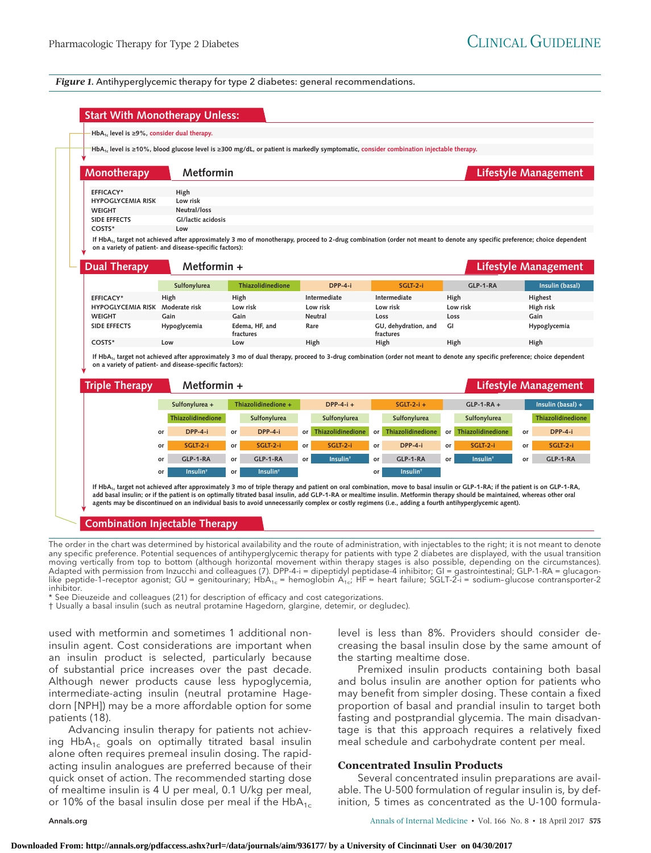#### *Figure 1.* Antihyperglycemic therapy for type 2 diabetes: general recommendations.

| Monotherapy                                                                      |                                                                        |                                                                                                                                                                                       |                            | HbA <sub>1c</sub> level is ≥10%, blood glucose level is ≥300 mg/dL, or patient is markedly symptomatic, consider combination injectable therapy. |                            |                                                                                                           |
|----------------------------------------------------------------------------------|------------------------------------------------------------------------|---------------------------------------------------------------------------------------------------------------------------------------------------------------------------------------|----------------------------|--------------------------------------------------------------------------------------------------------------------------------------------------|----------------------------|-----------------------------------------------------------------------------------------------------------|
|                                                                                  | Metformin                                                              |                                                                                                                                                                                       |                            |                                                                                                                                                  |                            | <b>Lifestyle Management</b>                                                                               |
| <b>EFFICACY*</b>                                                                 | High                                                                   |                                                                                                                                                                                       |                            |                                                                                                                                                  |                            |                                                                                                           |
| <b>HYPOGLYCEMIA RISK</b>                                                         | Low risk                                                               |                                                                                                                                                                                       |                            |                                                                                                                                                  |                            |                                                                                                           |
| <b>WEIGHT</b>                                                                    | Neutral/loss                                                           |                                                                                                                                                                                       |                            |                                                                                                                                                  |                            |                                                                                                           |
| <b>SIDE EFFECTS</b>                                                              | GI/lactic acidosis                                                     |                                                                                                                                                                                       |                            |                                                                                                                                                  |                            |                                                                                                           |
| COSTS*                                                                           | Low                                                                    |                                                                                                                                                                                       |                            |                                                                                                                                                  |                            |                                                                                                           |
| <b>Dual Therapy</b>                                                              | on a variety of patient- and disease-specific factors):<br>Metformin + |                                                                                                                                                                                       |                            |                                                                                                                                                  |                            | <b>Lifestyle Management</b>                                                                               |
|                                                                                  | Sulfonylurea                                                           | <b>Thiazolidinedione</b>                                                                                                                                                              | DPP-4-i                    | SGLT-2-i                                                                                                                                         | GLP-1-RA                   | Insulin (basal)                                                                                           |
| <b>EFFICACY*</b>                                                                 | High                                                                   | High                                                                                                                                                                                  | Intermediate               | Intermediate                                                                                                                                     | High                       | Highest                                                                                                   |
| HYPOGLYCEMIA RISK Moderate risk                                                  |                                                                        | Low risk                                                                                                                                                                              | Low risk                   | Low risk                                                                                                                                         | Low risk                   | High risk                                                                                                 |
| <b>WEIGHT</b>                                                                    | Gain                                                                   | Gain                                                                                                                                                                                  | Neutral                    | Loss                                                                                                                                             | Loss                       | Gain                                                                                                      |
| <b>SIDE EFFECTS</b>                                                              | Hypoglycemia                                                           | Edema, HF, and<br>fractures                                                                                                                                                           | Rare                       | GU, dehydration, and<br>fractures                                                                                                                | GI                         | Hypoglycemia                                                                                              |
| COSTS*                                                                           | Low                                                                    | Low                                                                                                                                                                                   | High                       | High                                                                                                                                             | High                       | High                                                                                                      |
|                                                                                  |                                                                        | If HbA <sub>1c</sub> target not achieved after approximately 3 mo of dual therapy, proceed to 3-drug combination (order not meant to denote any specific preference; choice dependent |                            |                                                                                                                                                  |                            |                                                                                                           |
| on a variety of patient- and disease-specific factors):<br><b>Triple Therapy</b> | Metformin $+$                                                          |                                                                                                                                                                                       |                            |                                                                                                                                                  |                            |                                                                                                           |
|                                                                                  | Sulfonylurea +                                                         | Thiazolidinedione +                                                                                                                                                                   | $DPP-4-i +$                | $SGLT-2-i +$                                                                                                                                     | $GLP-1-RA +$               |                                                                                                           |
|                                                                                  | <b>Thiazolidinedione</b>                                               | Sulfonylurea                                                                                                                                                                          | Sulfonylurea               | Sulfonylurea                                                                                                                                     | Sulfonylurea               |                                                                                                           |
|                                                                                  | DPP-4-i<br>or                                                          | DPP-4-i<br>or                                                                                                                                                                         | Thiazolidinedione<br>or    | Thiazolidinedione<br>or                                                                                                                          | Thiazolidinedione<br>or    | or                                                                                                        |
|                                                                                  | SGLT-2-i<br>or                                                         | SGLT-2-i<br>or                                                                                                                                                                        | SGLT-2-i<br>or             | DPP-4-i<br>or                                                                                                                                    | SGLT-2-i<br>or             | <b>Lifestyle Management</b><br>Insulin (basal) +<br><b>Thiazolidinedione</b><br>DPP-4-i<br>SGLT-2-i<br>or |
|                                                                                  | GLP-1-RA<br>or                                                         | GLP-1-RA<br>or                                                                                                                                                                        | Insulin <sup>†</sup><br>or | GLP-1-RA<br>or                                                                                                                                   | Insulin <sup>+</sup><br>or | GLP-1-RA<br>or                                                                                            |

The order in the chart was determined by historical availability and the route of administration, with injectables to the right; it is not meant to denote any specific preference. Potential sequences of antihyperglycemic therapy for patients with type 2 diabetes are displayed, with the usual transition moving vertically from top to bottom (although horizontal movement within therapy stages is also possible, depending on the circumstances). Adapted with permission from Inzucchi and colleagues (7). DPP-4-i = dipeptidyl peptidase-4 inhibitor; GI = gastrointestinal; GLP-1-RA = glucagonlike peptide-1-receptor agonist; GU = genitourinary; HbA<sub>1c</sub> = hemoglobin A<sub>1c</sub>; HF = heart failure; SGLT-2-i = sodium-glucose contransporter-2 inhibitor.

See Dieuzeide and colleagues (21) for description of efficacy and cost categorizations.

† Usually a basal insulin (such as neutral protamine Hagedorn, glargine, detemir, or degludec).

used with metformin and sometimes 1 additional noninsulin agent. Cost considerations are important when an insulin product is selected, particularly because of substantial price increases over the past decade. Although newer products cause less hypoglycemia, intermediate-acting insulin (neutral protamine Hagedorn [NPH]) may be a more affordable option for some patients (18).

Advancing insulin therapy for patients not achieving  $HbA_{1c}$  goals on optimally titrated basal insulin alone often requires premeal insulin dosing. The rapidacting insulin analogues are preferred because of their quick onset of action. The recommended starting dose of mealtime insulin is 4 U per meal, 0.1 U/kg per meal, or 10% of the basal insulin dose per meal if the  $HbA_{1c}$ 

level is less than 8%. Providers should consider decreasing the basal insulin dose by the same amount of the starting mealtime dose.

Premixed insulin products containing both basal and bolus insulin are another option for patients who may benefit from simpler dosing. These contain a fixed proportion of basal and prandial insulin to target both fasting and postprandial glycemia. The main disadvantage is that this approach requires a relatively fixed meal schedule and carbohydrate content per meal.

#### **Concentrated Insulin Products**

Several concentrated insulin preparations are available. The U-500 formulation of regular insulin is, by definition, 5 times as concentrated as the U-100 formula-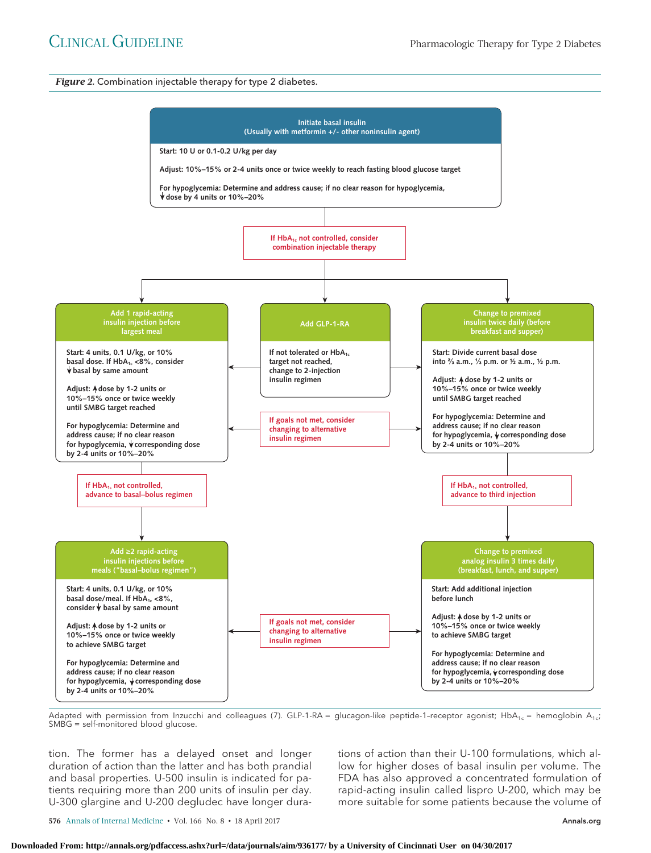#### *Figure 2.* Combination injectable therapy for type 2 diabetes.



Adapted with permission from Inzucchi and colleagues (7). GLP-1-RA = glucagon-like peptide-1-receptor agonist; HbA<sub>1c</sub> = hemoglobin A<sub>1c</sub>; SMBG = self-monitored blood glucose.

tion. The former has a delayed onset and longer duration of action than the latter and has both prandial and basal properties. U-500 insulin is indicated for patients requiring more than 200 units of insulin per day. U-300 glargine and U-200 degludec have longer durations of action than their U-100 formulations, which allow for higher doses of basal insulin per volume. The FDA has also approved a concentrated formulation of rapid-acting insulin called lispro U-200, which may be more suitable for some patients because the volume of

**576** Annals of Internal Medicine • Vol. 166 No. 8 • 18 April 2017 **[Annals.org](http://www.annals.org)**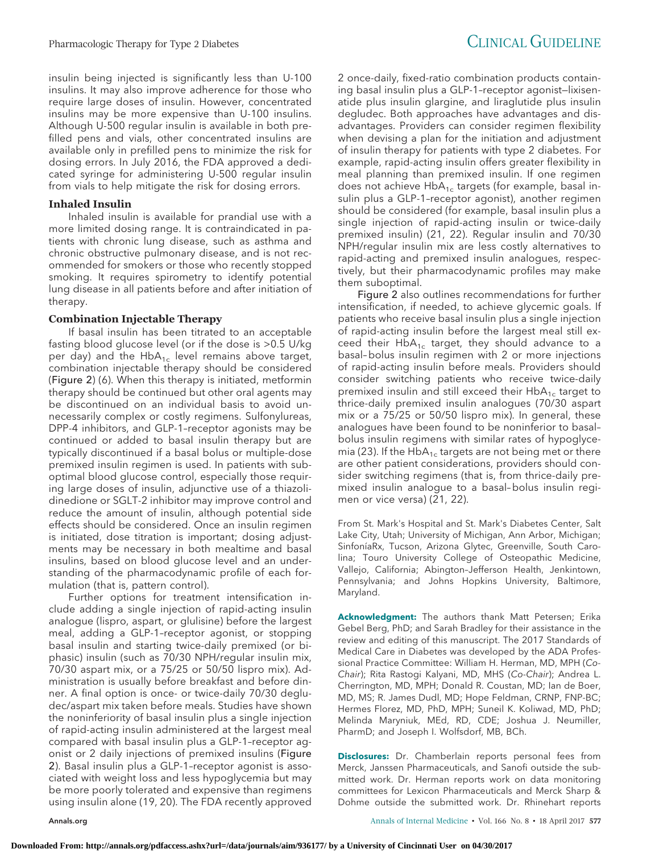insulin being injected is significantly less than U-100 insulins. It may also improve adherence for those who require large doses of insulin. However, concentrated insulins may be more expensive than U-100 insulins. Although U-500 regular insulin is available in both prefilled pens and vials, other concentrated insulins are available only in prefilled pens to minimize the risk for dosing errors. In July 2016, the FDA approved a dedicated syringe for administering U-500 regular insulin from vials to help mitigate the risk for dosing errors.

#### **Inhaled Insulin**

Inhaled insulin is available for prandial use with a more limited dosing range. It is contraindicated in patients with chronic lung disease, such as asthma and chronic obstructive pulmonary disease, and is not recommended for smokers or those who recently stopped smoking. It requires spirometry to identify potential lung disease in all patients before and after initiation of therapy.

#### **Combination Injectable Therapy**

If basal insulin has been titrated to an acceptable fasting blood glucose level (or if the dose is >0.5 U/kg per day) and the Hb $A_{1c}$  level remains above target, combination injectable therapy should be considered (Figure 2) (6). When this therapy is initiated, metformin therapy should be continued but other oral agents may be discontinued on an individual basis to avoid unnecessarily complex or costly regimens. Sulfonylureas, DPP-4 inhibitors, and GLP-1–receptor agonists may be continued or added to basal insulin therapy but are typically discontinued if a basal bolus or multiple-dose premixed insulin regimen is used. In patients with suboptimal blood glucose control, especially those requiring large doses of insulin, adjunctive use of a thiazolidinedione or SGLT-2 inhibitor may improve control and reduce the amount of insulin, although potential side effects should be considered. Once an insulin regimen is initiated, dose titration is important; dosing adjustments may be necessary in both mealtime and basal insulins, based on blood glucose level and an understanding of the pharmacodynamic profile of each formulation (that is, pattern control).

Further options for treatment intensification include adding a single injection of rapid-acting insulin analogue (lispro, aspart, or glulisine) before the largest meal, adding a GLP-1–receptor agonist, or stopping basal insulin and starting twice-daily premixed (or biphasic) insulin (such as 70/30 NPH/regular insulin mix, 70/30 aspart mix, or a 75/25 or 50/50 lispro mix). Administration is usually before breakfast and before dinner. A final option is once- or twice-daily 70/30 degludec/aspart mix taken before meals. Studies have shown the noninferiority of basal insulin plus a single injection of rapid-acting insulin administered at the largest meal compared with basal insulin plus a GLP-1–receptor agonist or 2 daily injections of premixed insulins (Figure 2). Basal insulin plus a GLP-1–receptor agonist is associated with weight loss and less hypoglycemia but may be more poorly tolerated and expensive than regimens using insulin alone (19, 20). The FDA recently approved

2 once-daily, fixed-ratio combination products containing basal insulin plus a GLP-1–receptor agonist—lixisenatide plus insulin glargine, and liraglutide plus insulin degludec. Both approaches have advantages and disadvantages. Providers can consider regimen flexibility when devising a plan for the initiation and adjustment of insulin therapy for patients with type 2 diabetes. For example, rapid-acting insulin offers greater flexibility in meal planning than premixed insulin. If one regimen does not achieve  $HbA_{1c}$  targets (for example, basal insulin plus a GLP-1–receptor agonist), another regimen should be considered (for example, basal insulin plus a single injection of rapid-acting insulin or twice-daily premixed insulin) (21, 22). Regular insulin and 70/30 NPH/regular insulin mix are less costly alternatives to rapid-acting and premixed insulin analogues, respectively, but their pharmacodynamic profiles may make them suboptimal.

Figure 2 also outlines recommendations for further intensification, if needed, to achieve glycemic goals. If patients who receive basal insulin plus a single injection of rapid-acting insulin before the largest meal still exceed their  $HbA_{1c}$  target, they should advance to a basal–bolus insulin regimen with 2 or more injections of rapid-acting insulin before meals. Providers should consider switching patients who receive twice-daily premixed insulin and still exceed their  $HbA_{1c}$  target to thrice-daily premixed insulin analogues (70/30 aspart mix or a 75/25 or 50/50 lispro mix). In general, these analogues have been found to be noninferior to basal– bolus insulin regimens with similar rates of hypoglycemia (23). If the HbA<sub>1c</sub> targets are not being met or there are other patient considerations, providers should consider switching regimens (that is, from thrice-daily premixed insulin analogue to a basal–bolus insulin regimen or vice versa) (21, 22).

From St. Mark's Hospital and St. Mark's Diabetes Center, Salt Lake City, Utah; University of Michigan, Ann Arbor, Michigan; SinfoníaRx, Tucson, Arizona Glytec, Greenville, South Carolina; Touro University College of Osteopathic Medicine, Vallejo, California; Abington–Jefferson Health, Jenkintown, Pennsylvania; and Johns Hopkins University, Baltimore, Maryland.

**Acknowledgment:** The authors thank Matt Petersen; Erika Gebel Berg, PhD; and Sarah Bradley for their assistance in the review and editing of this manuscript. The 2017 Standards of Medical Care in Diabetes was developed by the ADA Professional Practice Committee: William H. Herman, MD, MPH (Co-Chair); Rita Rastogi Kalyani, MD, MHS (Co-Chair); Andrea L. Cherrington, MD, MPH; Donald R. Coustan, MD; Ian de Boer, MD, MS; R. James Dudl, MD; Hope Feldman, CRNP, FNP-BC; Hermes Florez, MD, PhD, MPH; Suneil K. Koliwad, MD, PhD; Melinda Maryniuk, MEd, RD, CDE; Joshua J. Neumiller, PharmD; and Joseph I. Wolfsdorf, MB, BCh.

**Disclosures:** Dr. Chamberlain reports personal fees from Merck, Janssen Pharmaceuticals, and Sanofi outside the submitted work. Dr. Herman reports work on data monitoring committees for Lexicon Pharmaceuticals and Merck Sharp & Dohme outside the submitted work. Dr. Rhinehart reports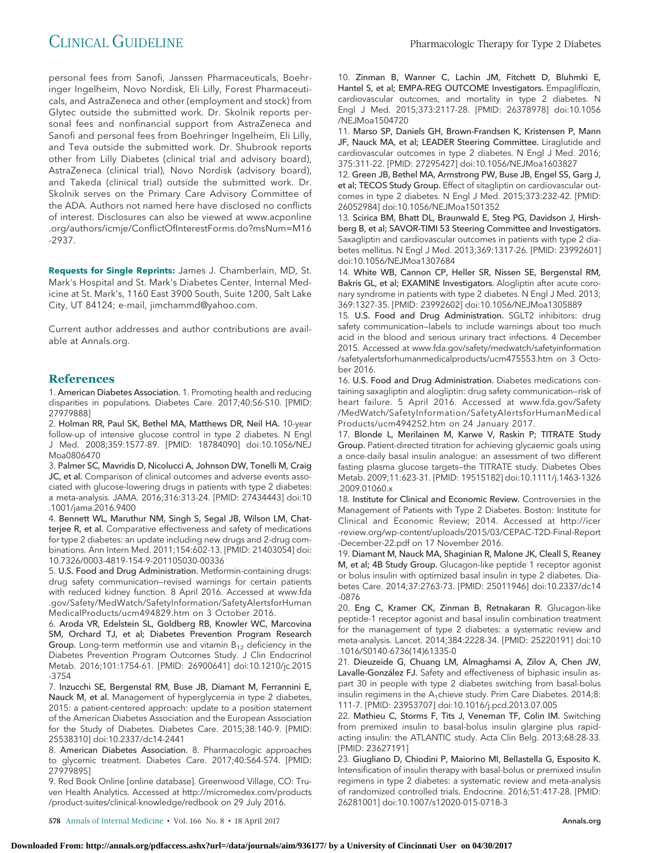personal fees from Sanofi, Janssen Pharmaceuticals, Boehringer Ingelheim, Novo Nordisk, Eli Lilly, Forest Pharmaceuticals, and AstraZeneca and other (employment and stock) from Glytec outside the submitted work. Dr. Skolnik reports personal fees and nonfinancial support from AstraZeneca and Sanofi and personal fees from Boehringer Ingelheim, Eli Lilly, and Teva outside the submitted work. Dr. Shubrook reports other from Lilly Diabetes (clinical trial and advisory board), AstraZeneca (clinical trial), Novo Nordisk (advisory board), and Takeda (clinical trial) outside the submitted work. Dr. Skolnik serves on the Primary Care Advisory Committee of the ADA. Authors not named here have disclosed no conflicts of interest. Disclosures can also be viewed at [www.acponline](http://www.acponline.org/authors/icmje/ConflictOfInterestForms.do?msNum=M16-2937) [.org/authors/icmje/ConflictOfInterestForms.do?msNum=M16](http://www.acponline.org/authors/icmje/ConflictOfInterestForms.do?msNum=M16-2937) [-2937.](http://www.acponline.org/authors/icmje/ConflictOfInterestForms.do?msNum=M16-2937)

**Requests for Single Reprints:** James J. Chamberlain, MD, St. Mark's Hospital and St. Mark's Diabetes Center, Internal Medicine at St. Mark's, 1160 East 3900 South, Suite 1200, Salt Lake City, UT 84124; e-mail, [jimchammd@yahoo.com.](mailto:jimchammd@yahoo.com)

Current author addresses and author contributions are available at [Annals.org.](http://www.annals.org)

#### **References**

1. American Diabetes Association. 1. Promoting health and reducing disparities in populations. Diabetes Care. 2017;40:S6-S10. [PMID: 27979888]

2. Holman RR, Paul SK, Bethel MA, Matthews DR, Neil HA. 10-year follow-up of intensive glucose control in type 2 diabetes. N Engl J Med. 2008;359:1577-89. [PMID: 18784090] doi:10.1056/NEJ Moa0806470

3. Palmer SC, Mavridis D, Nicolucci A, Johnson DW, Tonelli M, Craig JC, et al. Comparison of clinical outcomes and adverse events associated with glucose-lowering drugs in patients with type 2 diabetes: a meta-analysis. JAMA. 2016;316:313-24. [PMID: 27434443] doi:10 .1001/jama.2016.9400

4. Bennett WL, Maruthur NM, Singh S, Segal JB, Wilson LM, Chatterjee R, et al. Comparative effectiveness and safety of medications for type 2 diabetes: an update including new drugs and 2-drug combinations. Ann Intern Med. 2011;154:602-13. [PMID: 21403054] doi: 10.7326/0003-4819-154-9-201105030-00336

5. U.S. Food and Drug Administration. Metformin-containing drugs: drug safety communication—revised warnings for certain patients with reduced kidney function. 8 April 2016. Accessed at [www.fda](http://www.fda.gov/Safety/MedWatch/SafetyInformation/SafetyAlertsforHumanMedicalProducts/ucm494829.htm?source5govdelivery&utm_medium5email&utm_source5govdelivery) [.gov/Safety/MedWatch/SafetyInformation/SafetyAlertsforHuman](http://www.fda.gov/Safety/MedWatch/SafetyInformation/SafetyAlertsforHumanMedicalProducts/ucm494829.htm?source5govdelivery&utm_medium5email&utm_source5govdelivery) [MedicalProducts/ucm494829.htm](http://www.fda.gov/Safety/MedWatch/SafetyInformation/SafetyAlertsforHumanMedicalProducts/ucm494829.htm?source5govdelivery&utm_medium5email&utm_source5govdelivery) on 3 October 2016.

6. Aroda VR, Edelstein SL, Goldberg RB, Knowler WC, Marcovina SM, Orchard TJ, et al; Diabetes Prevention Program Research Group. Long-term metformin use and vitamin  $B_{12}$  deficiency in the Diabetes Prevention Program Outcomes Study. J Clin Endocrinol Metab. 2016;101:1754-61. [PMID: 26900641] doi:10.1210/jc.2015 -3754

7. Inzucchi SE, Bergenstal RM, Buse JB, Diamant M, Ferrannini E, Nauck M, et al. Management of hyperglycemia in type 2 diabetes, 2015: a patient-centered approach: update to a position statement of the American Diabetes Association and the European Association for the Study of Diabetes. Diabetes Care. 2015;38:140-9. [PMID: 25538310] doi:10.2337/dc14-2441

8. American Diabetes Association. 8. Pharmacologic approaches to glycemic treatment. Diabetes Care. 2017;40:S64-S74. [PMID: 27979895]

9. Red Book Online [online database]. Greenwood Village, CO: Truven Health Analytics. Accessed at [http://micromedex.com/products](http://micromedex.com/products/product-suites/clinical-knowledge/redbook) [/product-suites/clinical-knowledge/redbook](http://micromedex.com/products/product-suites/clinical-knowledge/redbook) on 29 July 2016.

10. Zinman B, Wanner C, Lachin JM, Fitchett D, Bluhmki E, Hantel S, et al; EMPA-REG OUTCOME Investigators. Empagliflozin, cardiovascular outcomes, and mortality in type 2 diabetes. N Engl J Med. 2015;373:2117-28. [PMID: 26378978] doi:10.1056 /NEJMoa1504720

11. Marso SP, Daniels GH, Brown-Frandsen K, Kristensen P, Mann JF, Nauck MA, et al; LEADER Steering Committee. Liraglutide and cardiovascular outcomes in type 2 diabetes. N Engl J Med. 2016; 375:311-22. [PMID: 27295427] doi:10.1056/NEJMoa1603827

12. Green JB, Bethel MA, Armstrong PW, Buse JB, Engel SS, Garg J, et al; TECOS Study Group. Effect of sitagliptin on cardiovascular outcomes in type 2 diabetes. N Engl J Med. 2015;373:232-42. [PMID: 26052984] doi:10.1056/NEJMoa1501352

13. Scirica BM, Bhatt DL, Braunwald E, Steg PG, Davidson J, Hirshberg B, et al; SAVOR-TIMI 53 Steering Committee and Investigators. Saxagliptin and cardiovascular outcomes in patients with type 2 diabetes mellitus. N Engl J Med. 2013;369:1317-26. [PMID: 23992601] doi:10.1056/NEJMoa1307684

14. White WB, Cannon CP, Heller SR, Nissen SE, Bergenstal RM, Bakris GL, et al; EXAMINE Investigators. Alogliptin after acute coronary syndrome in patients with type 2 diabetes. N Engl J Med. 2013; 369:1327-35. [PMID: 23992602] doi:10.1056/NEJMoa1305889

15. U.S. Food and Drug Administration. SGLT2 inhibitors: drug safety communication—labels to include warnings about too much acid in the blood and serious urinary tract infections. 4 December 2015. Accessed at [www.fda.gov/safety/medwatch/safetyinformation](http://www.fda.gov/safety/medwatch/safetyinformation/safetyalertsforhumanmedicalproducts/ucm475553.htm) [/safetyalertsforhumanmedicalproducts/ucm475553.htm](http://www.fda.gov/safety/medwatch/safetyinformation/safetyalertsforhumanmedicalproducts/ucm475553.htm) on 3 October 2016.

16. U.S. Food and Drug Administration. Diabetes medications containing saxagliptin and alogliptin: drug safety communication—risk of heart failure. 5 April 2016. Accessed at [www.fda.gov/Safety](http://www.fda.gov/Safety/MedWatch/SafetyInformation/SafetyAlertsforHumanMedicalProducts/ucm494252.htm) [/MedWatch/SafetyInformation/SafetyAlertsforHumanMedical](http://www.fda.gov/Safety/MedWatch/SafetyInformation/SafetyAlertsforHumanMedicalProducts/ucm494252.htm) [Products/ucm494252.htm](http://www.fda.gov/Safety/MedWatch/SafetyInformation/SafetyAlertsforHumanMedicalProducts/ucm494252.htm) on 24 January 2017.

17. Blonde L, Merilainen M, Karwe V, Raskin P; TITRATE Study Group. Patient-directed titration for achieving glycaemic goals using a once-daily basal insulin analogue: an assessment of two different fasting plasma glucose targets—the TITRATE study. Diabetes Obes Metab. 2009;11:623-31. [PMID: 19515182] doi:10.1111/j.1463-1326 .2009.01060.x

18. Institute for Clinical and Economic Review. Controversies in the Management of Patients with Type 2 Diabetes. Boston: Institute for Clinical and Economic Review; 2014. Accessed at [http://icer](http://icer-review.org/wp-content/uploads/2015/03/CEPAC-T2D-Final-Report-December-22.pdf) [-review.org/wp-content/uploads/2015/03/CEPAC-T2D-Final-Report](http://icer-review.org/wp-content/uploads/2015/03/CEPAC-T2D-Final-Report-December-22.pdf) [-December-22.pdf](http://icer-review.org/wp-content/uploads/2015/03/CEPAC-T2D-Final-Report-December-22.pdf) on 17 November 2016.

19. Diamant M, Nauck MA, Shaginian R, Malone JK, Cleall S, Reaney M, et al; 4B Study Group. Glucagon-like peptide 1 receptor agonist or bolus insulin with optimized basal insulin in type 2 diabetes. Diabetes Care. 2014;37:2763-73. [PMID: 25011946] doi:10.2337/dc14 -0876

20. Eng C, Kramer CK, Zinman B, Retnakaran R. Glucagon-like peptide-1 receptor agonist and basal insulin combination treatment for the management of type 2 diabetes: a systematic review and meta-analysis. Lancet. 2014;384:2228-34. [PMID: 25220191] doi:10 .1016/S0140-6736(14)61335-0

21. Dieuzeide G, Chuang LM, Almaghamsi A, Zilov A, Chen JW, Lavalle-González FJ. Safety and effectiveness of biphasic insulin aspart 30 in people with type 2 diabetes switching from basal-bolus insulin regimens in the  $A_1$ chieve study. Prim Care Diabetes. 2014;8: 111-7. [PMID: 23953707] doi:10.1016/j.pcd.2013.07.005

22. Mathieu C, Storms F, Tits J, Veneman TF, Colin IM. Switching from premixed insulin to basal-bolus insulin glargine plus rapidacting insulin: the ATLANTIC study. Acta Clin Belg. 2013;68:28-33. [PMID: 23627191]

23. Giugliano D, Chiodini P, Maiorino MI, Bellastella G, Esposito K. Intensification of insulin therapy with basal-bolus or premixed insulin regimens in type 2 diabetes: a systematic review and meta-analysis of randomized controlled trials. Endocrine. 2016;51:417-28. [PMID: 26281001] doi:10.1007/s12020-015-0718-3